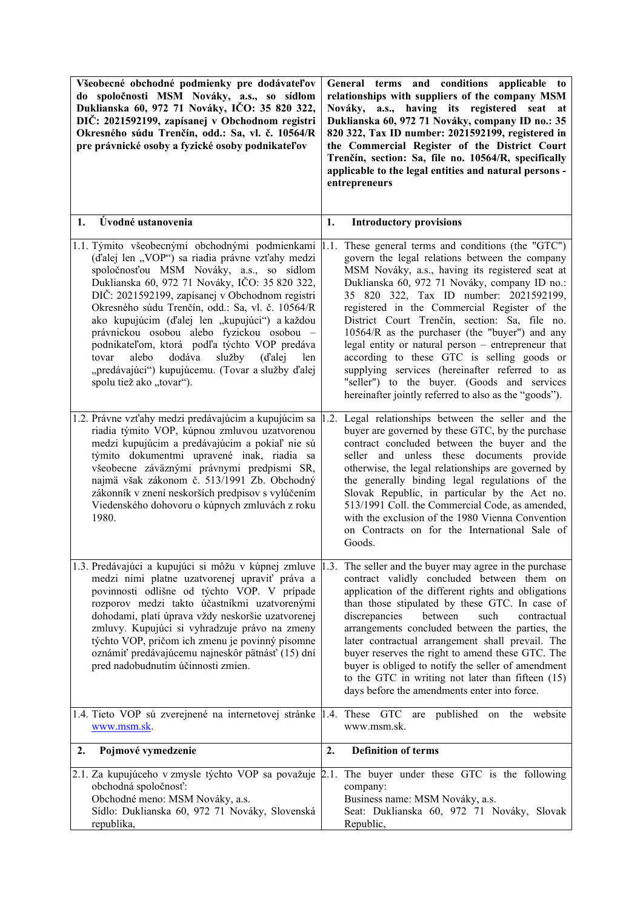| Všeobecné obchodné podmienky pre dodávateľov<br>do spoločnosti MSM Nováky, a.s., so sídlom<br>Duklianska 60, 972 71 Nováky, IČO: 35 820 322,<br>DIČ: 2021592199, zapísanej v Obchodnom registri<br>Okresného súdu Trenčín, odd.: Sa, vl. č. 10564/R<br>pre právnické osoby a fyzické osoby podnikateľov                                                                                                                                                                                                                                                                                           | General terms and conditions applicable to<br>relationships with suppliers of the company MSM<br>Nováky, a.s., having its registered seat at<br>Duklianska 60, 972 71 Nováky, company ID no.: 35<br>820 322, Tax ID number: 2021592199, registered in<br>the Commercial Register of the District Court<br>Trenčín, section: Sa, file no. 10564/R, specifically<br>applicable to the legal entities and natural persons -<br>entrepreneurs                                                                                                                                                                                                                       |
|---------------------------------------------------------------------------------------------------------------------------------------------------------------------------------------------------------------------------------------------------------------------------------------------------------------------------------------------------------------------------------------------------------------------------------------------------------------------------------------------------------------------------------------------------------------------------------------------------|-----------------------------------------------------------------------------------------------------------------------------------------------------------------------------------------------------------------------------------------------------------------------------------------------------------------------------------------------------------------------------------------------------------------------------------------------------------------------------------------------------------------------------------------------------------------------------------------------------------------------------------------------------------------|
| Úvodné ustanovenia<br>1.                                                                                                                                                                                                                                                                                                                                                                                                                                                                                                                                                                          | <b>Introductory provisions</b><br>1.                                                                                                                                                                                                                                                                                                                                                                                                                                                                                                                                                                                                                            |
| 1.1. Týmito všeobecnými obchodnými podmienkami 1.1.<br>(ďalej len "VOP") sa riadia právne vzťahy medzi<br>spoločnosťou MSM Nováky, a.s., so sídlom<br>Duklianska 60, 972 71 Nováky, IČO: 35 820 322,<br>DIČ: 2021592199, zapísanej v Obchodnom registri<br>Okresného súdu Trenčín, odd.: Sa, vl. č. 10564/R<br>ako kupujúcim (ďalej len "kupujúci") a každou<br>právnickou osobou alebo fyzickou osobou -<br>podnikateľom, ktorá podľa týchto VOP predáva<br>služby<br>alebo<br>dodáva<br>(d'alej<br>len<br>tovar<br>"predávajúci") kupujúcemu. (Tovar a služby ďalej<br>spolu tiež ako "tovar"). | These general terms and conditions (the "GTC")<br>govern the legal relations between the company<br>MSM Nováky, a.s., having its registered seat at<br>Duklianska 60, 972 71 Nováky, company ID no.:<br>35 820 322, Tax ID number: 2021592199,<br>registered in the Commercial Register of the<br>District Court Trenčín, section: Sa, file no.<br>10564/R as the purchaser (the "buyer") and any<br>legal entity or natural person - entrepreneur that<br>according to these GTC is selling goods or<br>supplying services (hereinafter referred to as<br>"seller") to the buyer. (Goods and services<br>hereinafter jointly referred to also as the "goods"). |
| 1.2. Právne vzťahy medzi predávajúcim a kupujúcim sa<br>riadia týmito VOP, kúpnou zmluvou uzatvorenou<br>medzi kupujúcim a predávajúcim a pokiaľ nie sú<br>týmito dokumentmi upravené inak, riadia sa<br>všeobecne záväznými právnymi predpismi SR,<br>najmä však zákonom č. 513/1991 Zb. Obchodný<br>zákonník v znení neskorších predpisov s vylúčením<br>Viedenského dohovoru o kúpnych zmluvách z roku<br>1980.                                                                                                                                                                                | Legal relationships between the seller and the<br>1.2.<br>buyer are governed by these GTC, by the purchase<br>contract concluded between the buyer and the<br>seller and unless these documents provide<br>otherwise, the legal relationships are governed by<br>the generally binding legal regulations of the<br>Slovak Republic, in particular by the Act no.<br>513/1991 Coll. the Commercial Code, as amended,<br>with the exclusion of the 1980 Vienna Convention<br>on Contracts on for the International Sale of<br>Goods.                                                                                                                              |
| 1.3. Predávajúci a kupujúci si môžu v kúpnej zmluve 1.3. The seller and the buyer may agree in the purchase<br>medzi nimi platne uzatvorenej upraviť práva a<br>povinnosti odlišne od týchto VOP. V prípade<br>rozporov medzi takto účastníkmi uzatvorenými<br>dohodami, platí úprava vždy neskoršie uzatvorenej<br>zmluvy. Kupujúci si vyhradzuje právo na zmeny<br>týchto VOP, pričom ich zmenu je povinný písomne<br>oznámiť predávajúcemu najneskôr pätnásť (15) dní<br>pred nadobudnutím účinnosti zmien.                                                                                    | contract validly concluded between them on<br>application of the different rights and obligations<br>than those stipulated by these GTC. In case of<br>discrepancies<br>between<br>such<br>contractual<br>arrangements concluded between the parties, the<br>later contractual arrangement shall prevail. The<br>buyer reserves the right to amend these GTC. The<br>buyer is obliged to notify the seller of amendment<br>to the GTC in writing not later than fifteen (15)<br>days before the amendments enter into force.                                                                                                                                    |
| 1.4. Tieto VOP sú zverejnené na internetovej stránke   1.4. These GTC are published on the website<br>www.msm.sk.                                                                                                                                                                                                                                                                                                                                                                                                                                                                                 | www.msm.sk.                                                                                                                                                                                                                                                                                                                                                                                                                                                                                                                                                                                                                                                     |
| 2.<br>Pojmové vymedzenie                                                                                                                                                                                                                                                                                                                                                                                                                                                                                                                                                                          | 2.<br><b>Definition of terms</b>                                                                                                                                                                                                                                                                                                                                                                                                                                                                                                                                                                                                                                |
| 2.1. Za kupujúceho v zmysle týchto VOP sa považuje<br>obchodná spoločnosť:<br>Obchodné meno: MSM Nováky, a.s.<br>Sídlo: Duklianska 60, 972 71 Nováky, Slovenská<br>republika,                                                                                                                                                                                                                                                                                                                                                                                                                     | 2.1. The buyer under these GTC is the following<br>company:<br>Business name: MSM Nováky, a.s.<br>Seat: Duklianska 60, 972 71 Nováky, Slovak<br>Republic,                                                                                                                                                                                                                                                                                                                                                                                                                                                                                                       |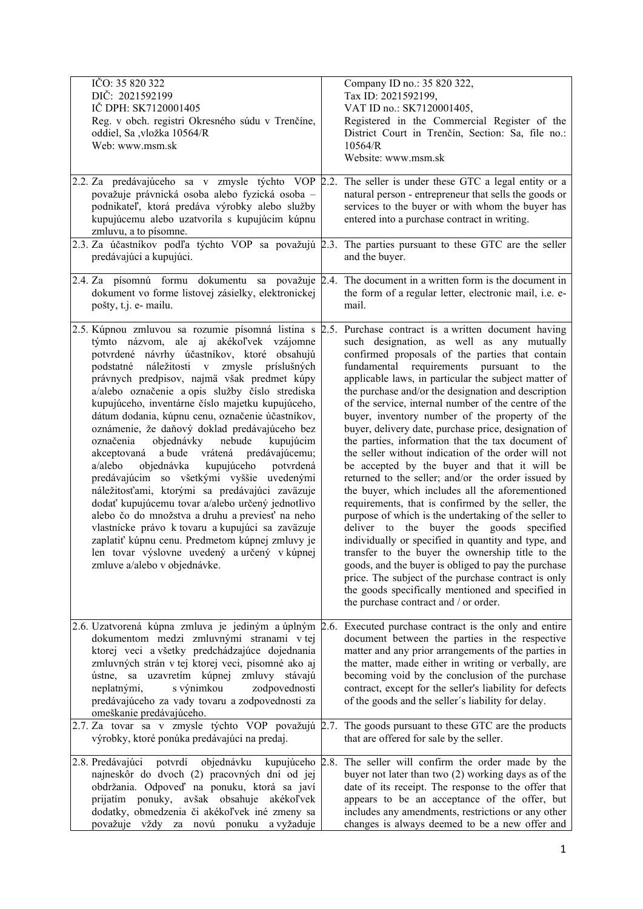| IČO: 35 820 322<br>DIČ: 2021592199<br>IČ DPH: SK7120001405<br>Reg. v obch. registri Okresného súdu v Trenčíne,<br>oddiel, Sa ,vložka 10564/R<br>Web: www.msm.sk<br>2.2. Za predávajúceho sa v zmysle týchto VOP 2.2.<br>považuje právnická osoba alebo fyzická osoba -<br>podnikateľ, ktorá predáva výrobky alebo služby<br>kupujúcemu alebo uzatvorila s kupujúcim kúpnu                                                                                                                                                                                                                                                                                                                                                                                                                                                                                                                                                                 | Company ID no.: 35 820 322,<br>Tax ID: 2021592199,<br>VAT ID no.: SK7120001405,<br>Registered in the Commercial Register of the<br>District Court in Trenčín, Section: Sa, file no.:<br>10564/R<br>Website: www.msm.sk<br>The seller is under these GTC a legal entity or a<br>natural person - entrepreneur that sells the goods or<br>services to the buyer or with whom the buyer has<br>entered into a purchase contract in writing.                                                                                                                                                                                                                                                                                                                                                                                                                                                                                                                                                                                                                                                                                                                                                                                                                                                          |
|-------------------------------------------------------------------------------------------------------------------------------------------------------------------------------------------------------------------------------------------------------------------------------------------------------------------------------------------------------------------------------------------------------------------------------------------------------------------------------------------------------------------------------------------------------------------------------------------------------------------------------------------------------------------------------------------------------------------------------------------------------------------------------------------------------------------------------------------------------------------------------------------------------------------------------------------|---------------------------------------------------------------------------------------------------------------------------------------------------------------------------------------------------------------------------------------------------------------------------------------------------------------------------------------------------------------------------------------------------------------------------------------------------------------------------------------------------------------------------------------------------------------------------------------------------------------------------------------------------------------------------------------------------------------------------------------------------------------------------------------------------------------------------------------------------------------------------------------------------------------------------------------------------------------------------------------------------------------------------------------------------------------------------------------------------------------------------------------------------------------------------------------------------------------------------------------------------------------------------------------------------|
| zmluvu, a to písomne.<br>predávajúci a kupujúci.                                                                                                                                                                                                                                                                                                                                                                                                                                                                                                                                                                                                                                                                                                                                                                                                                                                                                          | 2.3. Za účastníkov podľa týchto VOP sa považujú 2.3. The parties pursuant to these GTC are the seller<br>and the buyer.                                                                                                                                                                                                                                                                                                                                                                                                                                                                                                                                                                                                                                                                                                                                                                                                                                                                                                                                                                                                                                                                                                                                                                           |
| 2.4. Za písomnú formu dokumentu sa považuje<br>dokument vo forme listovej zásielky, elektronickej<br>pošty, t.j. e- mailu.                                                                                                                                                                                                                                                                                                                                                                                                                                                                                                                                                                                                                                                                                                                                                                                                                | 2.4. The document in a written form is the document in<br>the form of a regular letter, electronic mail, i.e. e-<br>mail.                                                                                                                                                                                                                                                                                                                                                                                                                                                                                                                                                                                                                                                                                                                                                                                                                                                                                                                                                                                                                                                                                                                                                                         |
| týmto názvom, ale aj akékoľvek vzájomne<br>potvrdené návrhy účastníkov, ktoré obsahujú<br>podstatné náležitosti v zmysle príslušných<br>právnych predpisov, najmä však predmet kúpy<br>a/alebo označenie a opis služby číslo strediska<br>kupujúceho, inventárne číslo majetku kupujúceho,<br>dátum dodania, kúpnu cenu, označenie účastníkov,<br>oznámenie, že daňový doklad predávajúceho bez<br>objednávky nebude<br>označenia<br>kupujúcim<br>akceptovaná a bude vrátená predávajúcemu;<br>objednávka kupujúceho<br>potvrdená<br>a/alebo<br>predávajúcim so všetkými vyššie uvedenými<br>náležitosťami, ktorými sa predávajúci zaväzuje<br>dodať kupujúcemu tovar a/alebo určený jednotlivo<br>alebo čo do množstva a druhu a previesť na neho<br>vlastnícke právo k tovaru a kupujúci sa zaväzuje<br>zaplatiť kúpnu cenu. Predmetom kúpnej zmluvy je<br>len tovar výslovne uvedený a určený v kúpnej<br>zmluve a/alebo v objednávke. | 2.5. Kúpnou zmluvou sa rozumie písomná listina s 2.5. Purchase contract is a written document having<br>such designation, as well as any mutually<br>confirmed proposals of the parties that contain<br>fundamental requirements pursuant<br>to<br>the<br>applicable laws, in particular the subject matter of<br>the purchase and/or the designation and description<br>of the service, internal number of the centre of the<br>buyer, inventory number of the property of the<br>buyer, delivery date, purchase price, designation of<br>the parties, information that the tax document of<br>the seller without indication of the order will not<br>be accepted by the buyer and that it will be<br>returned to the seller; and/or the order issued by<br>the buyer, which includes all the aforementioned<br>requirements, that is confirmed by the seller, the<br>purpose of which is the undertaking of the seller to<br>buyer the goods specified<br>deliver to the<br>individually or specified in quantity and type, and<br>transfer to the buyer the ownership title to the<br>goods, and the buyer is obliged to pay the purchase<br>price. The subject of the purchase contract is only<br>the goods specifically mentioned and specified in<br>the purchase contract and / or order. |
| dokumentom medzi zmluvnými stranami v tej<br>ktorej veci a všetky predchádzajúce dojednania<br>zmluvných strán v tej ktorej veci, písomné ako aj<br>sa uzavretím kúpnej<br>zmluvy stávajú<br>ústne,<br>neplatnými,<br>s výnimkou<br>zodpovednosti<br>predávajúceho za vady tovaru a zodpovednosti za<br>omeškanie predávajúceho.                                                                                                                                                                                                                                                                                                                                                                                                                                                                                                                                                                                                          | 2.6. Uzatvorená kúpna zmluva je jediným a úplným 2.6. Executed purchase contract is the only and entire<br>document between the parties in the respective<br>matter and any prior arrangements of the parties in<br>the matter, made either in writing or verbally, are<br>becoming void by the conclusion of the purchase<br>contract, except for the seller's liability for defects<br>of the goods and the seller's liability for delay.                                                                                                                                                                                                                                                                                                                                                                                                                                                                                                                                                                                                                                                                                                                                                                                                                                                       |
| výrobky, ktoré ponúka predávajúci na predaj.                                                                                                                                                                                                                                                                                                                                                                                                                                                                                                                                                                                                                                                                                                                                                                                                                                                                                              | 2.7. Za tovar sa v zmysle týchto VOP považujú 2.7. The goods pursuant to these GTC are the products<br>that are offered for sale by the seller.                                                                                                                                                                                                                                                                                                                                                                                                                                                                                                                                                                                                                                                                                                                                                                                                                                                                                                                                                                                                                                                                                                                                                   |
| 2.8. Predávajúci potvrdí<br>objednávku kupujúceho<br>najneskôr do dvoch (2) pracovných dní od jej<br>obdržania. Odpoveď na ponuku, ktorá sa javí<br>prijatím ponuky, avšak obsahuje akékoľvek<br>dodatky, obmedzenia či akékoľvek iné zmeny sa<br>považuje vždy za novú ponuku a vyžaduje                                                                                                                                                                                                                                                                                                                                                                                                                                                                                                                                                                                                                                                 | The seller will confirm the order made by the<br>2.8.<br>buyer not later than two $(2)$ working days as of the<br>date of its receipt. The response to the offer that<br>appears to be an acceptance of the offer, but<br>includes any amendments, restrictions or any other<br>changes is always deemed to be a new offer and                                                                                                                                                                                                                                                                                                                                                                                                                                                                                                                                                                                                                                                                                                                                                                                                                                                                                                                                                                    |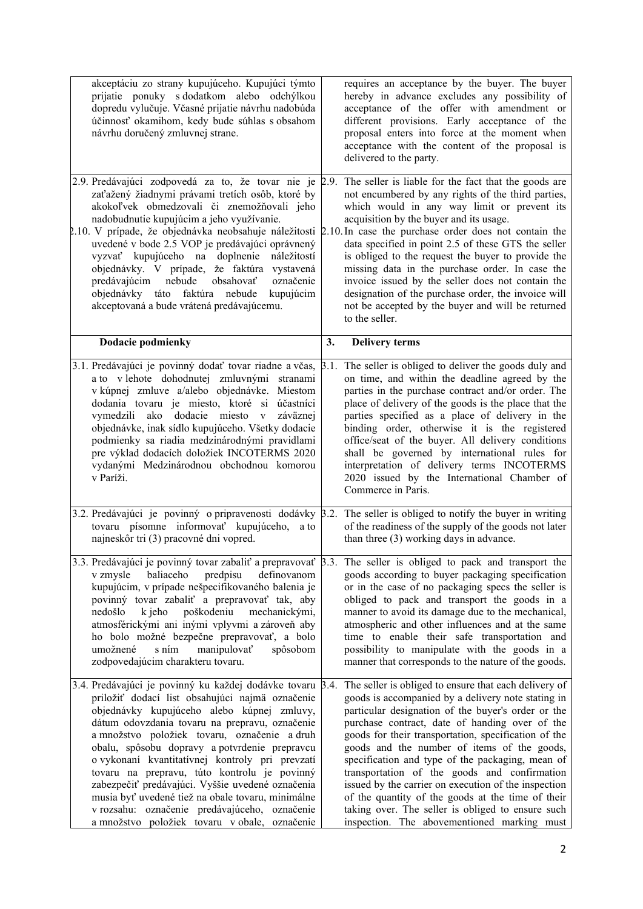| akceptáciu zo strany kupujúceho. Kupujúci týmto<br>prijatie ponuky s dodatkom alebo odchýlkou                                                                                                                                                                                                                                                                                                                                                                                                                                                                                                                                      |      | requires an acceptance by the buyer. The buyer<br>hereby in advance excludes any possibility of                                                                                                                                                                                                                                                                                                                                                                                                                                                                                                                                                 |
|------------------------------------------------------------------------------------------------------------------------------------------------------------------------------------------------------------------------------------------------------------------------------------------------------------------------------------------------------------------------------------------------------------------------------------------------------------------------------------------------------------------------------------------------------------------------------------------------------------------------------------|------|-------------------------------------------------------------------------------------------------------------------------------------------------------------------------------------------------------------------------------------------------------------------------------------------------------------------------------------------------------------------------------------------------------------------------------------------------------------------------------------------------------------------------------------------------------------------------------------------------------------------------------------------------|
| dopredu vylučuje. Včasné prijatie návrhu nadobúda<br>účinnosť okamihom, kedy bude súhlas s obsahom<br>návrhu doručený zmluvnej strane.                                                                                                                                                                                                                                                                                                                                                                                                                                                                                             |      | acceptance of the offer with amendment or<br>different provisions. Early acceptance of the<br>proposal enters into force at the moment when<br>acceptance with the content of the proposal is<br>delivered to the party.                                                                                                                                                                                                                                                                                                                                                                                                                        |
| 2.9. Predávajúci zodpovedá za to, že tovar nie je 2.9.<br>zaťažený žiadnymi právami tretích osôb, ktoré by<br>akokoľvek obmedzovali či znemožňovali jeho<br>nadobudnutie kupujúcim a jeho využívanie.<br>2.10. V prípade, že objednávka neobsahuje náležitosti 2.10. In case the purchase order does not contain the<br>uvedené v bode 2.5 VOP je predávajúci oprávnený<br>vyzvať kupujúceho na doplnenie náležitostí<br>objednávky. V prípade, že faktúra vystavená<br>predávajúcim<br>nebude<br>obsahovať<br>označenie<br>objednávky táto faktúra nebude<br>kupujúcim<br>akceptovaná a bude vrátená predávajúcemu.               |      | The seller is liable for the fact that the goods are<br>not encumbered by any rights of the third parties,<br>which would in any way limit or prevent its<br>acquisition by the buyer and its usage.<br>data specified in point 2.5 of these GTS the seller<br>is obliged to the request the buyer to provide the<br>missing data in the purchase order. In case the<br>invoice issued by the seller does not contain the<br>designation of the purchase order, the invoice will<br>not be accepted by the buyer and will be returned<br>to the seller.                                                                                         |
| Dodacie podmienky                                                                                                                                                                                                                                                                                                                                                                                                                                                                                                                                                                                                                  | 3.   | <b>Delivery terms</b>                                                                                                                                                                                                                                                                                                                                                                                                                                                                                                                                                                                                                           |
| 3.1. Predávajúci je povinný dodať tovar riadne a včas,<br>a to v lehote dohodnutej zmluvnými stranami<br>v kúpnej zmluve a/alebo objednávke. Miestom<br>dodania tovaru je miesto, ktoré si účastníci<br>vymedzili ako dodacie miesto v záväznej<br>objednávke, inak sídlo kupujúceho. Všetky dodacie<br>podmienky sa riadia medzinárodnými pravidlami<br>pre výklad dodacích doložiek INCOTERMS 2020<br>vydanými Medzinárodnou obchodnou komorou<br>v Paríži.                                                                                                                                                                      | 3.1. | The seller is obliged to deliver the goods duly and<br>on time, and within the deadline agreed by the<br>parties in the purchase contract and/or order. The<br>place of delivery of the goods is the place that the<br>parties specified as a place of delivery in the<br>binding order, otherwise it is the registered<br>office/seat of the buyer. All delivery conditions<br>shall be governed by international rules for<br>interpretation of delivery terms INCOTERMS<br>2020 issued by the International Chamber of<br>Commerce in Paris.                                                                                                 |
| 3.2. Predávajúci je povinný o pripravenosti dodávky 3.2.<br>tovaru písomne informovať kupujúceho,<br>a to<br>najneskôr tri (3) pracovné dni vopred.                                                                                                                                                                                                                                                                                                                                                                                                                                                                                |      | The seller is obliged to notify the buyer in writing<br>of the readiness of the supply of the goods not later<br>than three (3) working days in advance.                                                                                                                                                                                                                                                                                                                                                                                                                                                                                        |
| 3.3. Predávajúci je povinný tovar zabaliť a prepravovať 3.3.<br>predpisu<br>v zmysle<br>baliaceho<br>definovanom<br>kupujúcim, v prípade nešpecifikovaného balenia je<br>povinný tovar zabaliť a prepravovať tak, aby<br>poškodeniu<br>mechanickými,<br>nedošlo<br>k jeho<br>atmosférickými ani inými vplyvmi a zároveň aby<br>ho bolo možné bezpečne prepravovať, a bolo<br>manipulovať<br>umožnené<br>s ním<br>spôsobom<br>zodpovedajúcim charakteru tovaru.                                                                                                                                                                     |      | The seller is obliged to pack and transport the<br>goods according to buyer packaging specification<br>or in the case of no packaging specs the seller is<br>obliged to pack and transport the goods in a<br>manner to avoid its damage due to the mechanical,<br>atmospheric and other influences and at the same<br>time to enable their safe transportation and<br>possibility to manipulate with the goods in a<br>manner that corresponds to the nature of the goods.                                                                                                                                                                      |
| 3.4. Predávajúci je povinný ku každej dodávke tovaru $\beta$ .4.<br>priložiť dodací list obsahujúci najmä označenie<br>objednávky kupujúceho alebo kúpnej zmluvy,<br>dátum odovzdania tovaru na prepravu, označenie<br>a množstvo položiek tovaru, označenie a druh<br>obalu, spôsobu dopravy a potvrdenie prepravcu<br>o vykonaní kvantitatívnej kontroly pri prevzatí<br>tovaru na prepravu, túto kontrolu je povinný<br>zabezpečiť predávajúci. Vyššie uvedené označenia<br>musia byť uvedené tiež na obale tovaru, minimálne<br>v rozsahu: označenie predávajúceho, označenie<br>a množstvo položiek tovaru v obale, označenie |      | The seller is obliged to ensure that each delivery of<br>goods is accompanied by a delivery note stating in<br>particular designation of the buyer's order or the<br>purchase contract, date of handing over of the<br>goods for their transportation, specification of the<br>goods and the number of items of the goods,<br>specification and type of the packaging, mean of<br>transportation of the goods and confirmation<br>issued by the carrier on execution of the inspection<br>of the quantity of the goods at the time of their<br>taking over. The seller is obliged to ensure such<br>inspection. The abovementioned marking must |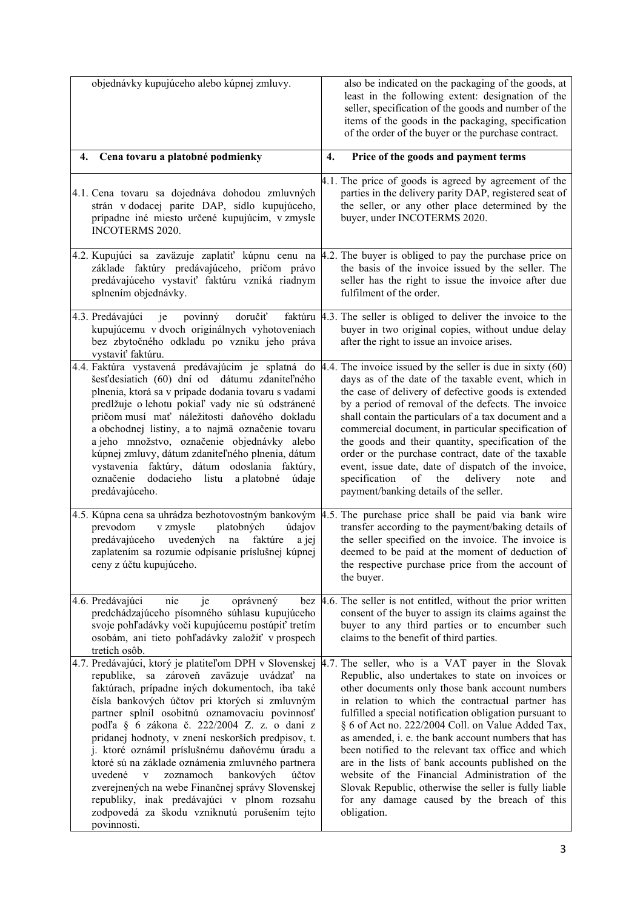|    | objednávky kupujúceho alebo kúpnej zmluvy.                                                                                                                                                                                                                                                                                                                                                                                                                                                                                                                                                                                       | also be indicated on the packaging of the goods, at<br>least in the following extent: designation of the<br>seller, specification of the goods and number of the<br>items of the goods in the packaging, specification<br>of the order of the buyer or the purchase contract.                                                                                                                                                                                                                                                                                                                                                                                                                                                    |
|----|----------------------------------------------------------------------------------------------------------------------------------------------------------------------------------------------------------------------------------------------------------------------------------------------------------------------------------------------------------------------------------------------------------------------------------------------------------------------------------------------------------------------------------------------------------------------------------------------------------------------------------|----------------------------------------------------------------------------------------------------------------------------------------------------------------------------------------------------------------------------------------------------------------------------------------------------------------------------------------------------------------------------------------------------------------------------------------------------------------------------------------------------------------------------------------------------------------------------------------------------------------------------------------------------------------------------------------------------------------------------------|
| 4. | Cena tovaru a platobné podmienky                                                                                                                                                                                                                                                                                                                                                                                                                                                                                                                                                                                                 | Price of the goods and payment terms<br>4.                                                                                                                                                                                                                                                                                                                                                                                                                                                                                                                                                                                                                                                                                       |
|    | 4.1. Cena tovaru sa dojednáva dohodou zmluvných<br>strán v dodacej parite DAP, sídlo kupujúceho,<br>prípadne iné miesto určené kupujúcim, v zmysle<br><b>INCOTERMS 2020.</b>                                                                                                                                                                                                                                                                                                                                                                                                                                                     | 4.1. The price of goods is agreed by agreement of the<br>parties in the delivery parity DAP, registered seat of<br>the seller, or any other place determined by the<br>buyer, under INCOTERMS 2020.                                                                                                                                                                                                                                                                                                                                                                                                                                                                                                                              |
|    | 4.2. Kupujúci sa zaväzuje zaplatiť kúpnu cenu na<br>základe faktúry predávajúceho, pričom právo<br>predávajúceho vystaviť faktúru vzniká riadnym<br>splnením objednávky.                                                                                                                                                                                                                                                                                                                                                                                                                                                         | 4.2. The buyer is obliged to pay the purchase price on<br>the basis of the invoice issued by the seller. The<br>seller has the right to issue the invoice after due<br>fulfilment of the order.                                                                                                                                                                                                                                                                                                                                                                                                                                                                                                                                  |
|    | povinný<br>doručiť<br>4.3. Predávajúci<br>je<br>kupujúcemu v dvoch originálnych vyhotoveniach<br>bez zbytočného odkladu po vzniku jeho práva<br>vystaviť faktúru.                                                                                                                                                                                                                                                                                                                                                                                                                                                                | faktúru $\sharp$ .3. The seller is obliged to deliver the invoice to the<br>buyer in two original copies, without undue delay<br>after the right to issue an invoice arises.                                                                                                                                                                                                                                                                                                                                                                                                                                                                                                                                                     |
|    | 4.4. Faktúra vystavená predávajúcim je splatná do<br>šesť desiatich (60) dní od dátumu zdaniteľného<br>plnenia, ktorá sa v prípade dodania tovaru s vadami<br>predlžuje o lehotu pokiaľ vady nie sú odstránené<br>pričom musí mať náležitosti daňového dokladu<br>a obchodnej listiny, a to najmä označenie tovaru<br>a jeho množstvo, označenie objednávky alebo<br>kúpnej zmluvy, dátum zdaniteľného plnenia, dátum<br>vystavenia faktúry, dátum odoslania faktúry,<br>dodacieho listu a platobné<br>označenie<br>údaje<br>predávajúceho.                                                                                      | 4.4. The invoice issued by the seller is due in sixty $(60)$<br>days as of the date of the taxable event, which in<br>the case of delivery of defective goods is extended<br>by a period of removal of the defects. The invoice<br>shall contain the particulars of a tax document and a<br>commercial document, in particular specification of<br>the goods and their quantity, specification of the<br>order or the purchase contract, date of the taxable<br>event, issue date, date of dispatch of the invoice,<br>specification of the<br>delivery<br>note<br>and<br>payment/banking details of the seller.                                                                                                                 |
|    | v zmysle<br>platobných<br>prevodom<br>údajov<br>uvedených<br>predávajúceho<br>na<br>faktúre<br>a jej<br>zaplatením sa rozumie odpísanie príslušnej kúpnej<br>ceny z účtu kupujúceho.                                                                                                                                                                                                                                                                                                                                                                                                                                             | 4.5. Kúpna cena sa uhrádza bezhotovostným bankovým 4.5. The purchase price shall be paid via bank wire<br>transfer according to the payment/baking details of<br>the seller specified on the invoice. The invoice is<br>deemed to be paid at the moment of deduction of<br>the respective purchase price from the account of<br>the buyer.                                                                                                                                                                                                                                                                                                                                                                                       |
|    | 4.6. Predávajúci<br>nie<br>je<br>oprávnený<br>bez<br>predchádzajúceho písomného súhlasu kupujúceho<br>svoje pohľadávky voči kupujúcemu postúpiť tretím<br>osobám, ani tieto pohľadávky založiť v prospech<br>tretích osôb.                                                                                                                                                                                                                                                                                                                                                                                                       | 4.6. The seller is not entitled, without the prior written<br>consent of the buyer to assign its claims against the<br>buyer to any third parties or to encumber such<br>claims to the benefit of third parties.                                                                                                                                                                                                                                                                                                                                                                                                                                                                                                                 |
|    | republike, sa zároveň zaväzuje uvádzať<br>na<br>faktúrach, prípadne iných dokumentoch, iba také<br>čísla bankových účtov pri ktorých si zmluvným<br>partner splnil osobitnú oznamovaciu povinnosť<br>podľa § 6 zákona č. 222/2004 Z. z. o dani z<br>pridanej hodnoty, v znení neskorších predpisov, t.<br>j. ktoré oznámil príslušnému daňovému úradu a<br>ktoré sú na základe oznámenia zmluvného partnera<br>zoznamoch<br>bankových<br>účtov<br>uvedené<br>V<br>zverejnených na webe Finančnej správy Slovenskej<br>republiky, inak predávajúci v plnom rozsahu<br>zodpovedá za škodu vzniknutú porušením tejto<br>povinnosti. | 4.7. Predávajúci, ktorý je platiteľom DPH v Slovenskej 4.7. The seller, who is a VAT payer in the Slovak<br>Republic, also undertakes to state on invoices or<br>other documents only those bank account numbers<br>in relation to which the contractual partner has<br>fulfilled a special notification obligation pursuant to<br>§ 6 of Act no. 222/2004 Coll. on Value Added Tax,<br>as amended, i. e. the bank account numbers that has<br>been notified to the relevant tax office and which<br>are in the lists of bank accounts published on the<br>website of the Financial Administration of the<br>Slovak Republic, otherwise the seller is fully liable<br>for any damage caused by the breach of this<br>obligation. |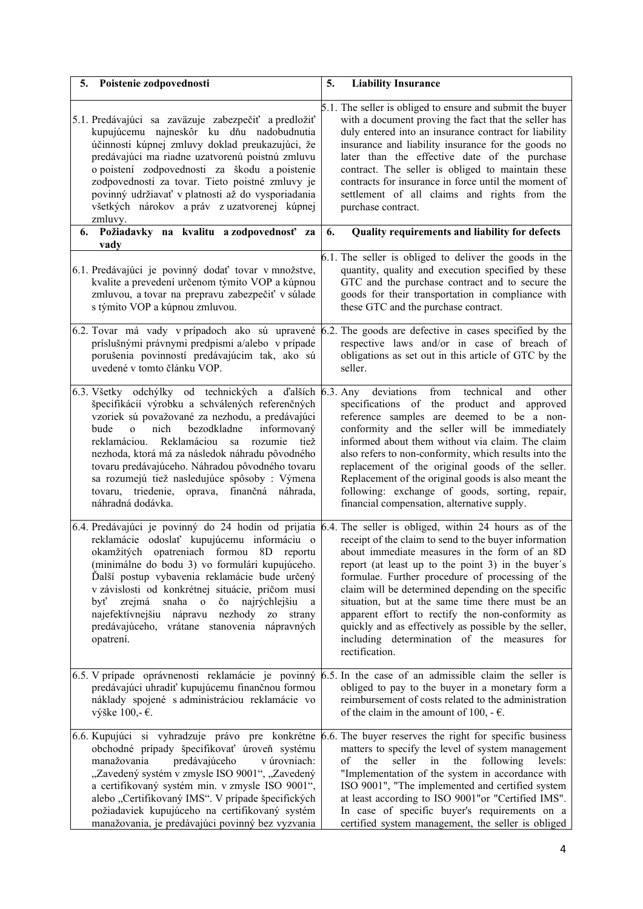| 5. | Poistenie zodpovednosti                                                                                                                                                                                                                                                                                                                                                                                                                                                                                                   | 5.<br><b>Liability Insurance</b>                                                                                                                                                                                                                                                                                                                                                                                                                                                                                                                                                                                      |
|----|---------------------------------------------------------------------------------------------------------------------------------------------------------------------------------------------------------------------------------------------------------------------------------------------------------------------------------------------------------------------------------------------------------------------------------------------------------------------------------------------------------------------------|-----------------------------------------------------------------------------------------------------------------------------------------------------------------------------------------------------------------------------------------------------------------------------------------------------------------------------------------------------------------------------------------------------------------------------------------------------------------------------------------------------------------------------------------------------------------------------------------------------------------------|
|    | 5.1. Predávajúci sa zaväzuje zabezpečiť a predložiť<br>kupujúcemu najneskôr ku dňu nadobudnutia<br>účinnosti kúpnej zmluvy doklad preukazujúci, že<br>predávajúci ma riadne uzatvorenú poistnú zmluvu<br>o poistení zodpovednosti za škodu a poistenie<br>zodpovednosti za tovar. Tieto poistné zmluvy je<br>povinný udržiavať v platnosti až do vysporiadania<br>všetkých nárokov a práv z uzatvorenej kúpnej<br>zmluvy.                                                                                                 | 5.1. The seller is obliged to ensure and submit the buyer<br>with a document proving the fact that the seller has<br>duly entered into an insurance contract for liability<br>insurance and liability insurance for the goods no<br>later than the effective date of the purchase<br>contract. The seller is obliged to maintain these<br>contracts for insurance in force until the moment of<br>settlement of all claims and rights from the<br>purchase contract.                                                                                                                                                  |
| 6. | Požiadavky na kvalitu a zodpovednosť za<br>vady                                                                                                                                                                                                                                                                                                                                                                                                                                                                           | Quality requirements and liability for defects<br>6.                                                                                                                                                                                                                                                                                                                                                                                                                                                                                                                                                                  |
|    | 6.1. Predávajúci je povinný dodať tovar v množstve,<br>kvalite a prevedení určenom týmito VOP a kúpnou<br>zmluvou, a tovar na prepravu zabezpečiť v súlade<br>s týmito VOP a kúpnou zmluvou.                                                                                                                                                                                                                                                                                                                              | 6.1. The seller is obliged to deliver the goods in the<br>quantity, quality and execution specified by these<br>GTC and the purchase contract and to secure the<br>goods for their transportation in compliance with<br>these GTC and the purchase contract.                                                                                                                                                                                                                                                                                                                                                          |
|    | príslušnými právnymi predpismi a/alebo v prípade<br>porušenia povinností predávajúcim tak, ako sú<br>uvedené v tomto článku VOP.                                                                                                                                                                                                                                                                                                                                                                                          | 6.2. Tovar má vady v prípadoch ako sú upravené 6.2. The goods are defective in cases specified by the<br>respective laws and/or in case of breach of<br>obligations as set out in this article of GTC by the<br>seller.                                                                                                                                                                                                                                                                                                                                                                                               |
|    | 6.3. Všetky odchýlky od technických a ďalších 6.3. Any deviations<br>špecifikácií výrobku a schválených referenčných<br>vzoriek sú považované za nezhodu, a predávajúci<br>informovaný<br>bude<br>nich<br>bezodkladne<br>$\mathbf{o}$<br>reklamáciou. Reklamáciou<br>rozumie<br>sa<br>tiež<br>nezhoda, ktorá má za následok náhradu pôvodného<br>tovaru predávajúceho. Náhradou pôvodného tovaru<br>sa rozumejú tiež nasledujúce spôsoby : Výmena<br>tovaru, triedenie, oprava,<br>finančná náhrada,<br>náhradná dodávka. | from technical<br>other<br>and<br>specifications of the product and approved<br>reference samples are deemed to be a non-<br>conformity and the seller will be immediately<br>informed about them without via claim. The claim<br>also refers to non-conformity, which results into the<br>replacement of the original goods of the seller.<br>Replacement of the original goods is also meant the<br>following: exchange of goods, sorting, repair,<br>financial compensation, alternative supply.                                                                                                                   |
|    | reklamácie odoslať kupujúcemu informáciu o<br>okamžitých opatreniach formou 8D reportu<br>(minimálne do bodu 3) vo formulári kupujúceho.<br>Ďalší postup vybavenia reklamácie bude určený<br>v závislosti od konkrétnej situácie, pričom musí<br>zrejmá<br>snaha<br>čo najrýchlejšiu<br>byť<br>$\overline{\mathbf{o}}$<br>a<br>najefektívnejšiu<br>nápravu<br>nezhody<br>ZO<br>strany<br>predávajúceho, vrátane stanovenia nápravných<br>opatrení.                                                                        | 6.4. Predávajúci je povinný do 24 hodín od prijatia 6.4. The seller is obliged, within 24 hours as of the<br>receipt of the claim to send to the buyer information<br>about immediate measures in the form of an 8D<br>report (at least up to the point 3) in the buyer's<br>formulae. Further procedure of processing of the<br>claim will be determined depending on the specific<br>situation, but at the same time there must be an<br>apparent effort to rectify the non-conformity as<br>quickly and as effectively as possible by the seller,<br>including determination of the measures for<br>rectification. |
|    | predávajúci uhradiť kupujúcemu finančnou formou<br>náklady spojené s administráciou reklamácie vo<br>výške 100,- $\epsilon$ .                                                                                                                                                                                                                                                                                                                                                                                             | $6.5$ . V prípade oprávnenosti reklamácie je povinný $6.5$ . In the case of an admissible claim the seller is<br>obliged to pay to the buyer in a monetary form a<br>reimbursement of costs related to the administration<br>of the claim in the amount of 100, $-\epsilon$ .                                                                                                                                                                                                                                                                                                                                         |
|    | obchodné prípady špecifikovať úroveň systému<br>manažovania<br>predávajúceho<br>v úrovniach:<br>"Zavedený systém v zmysle ISO 9001", "Zavedený<br>a certifikovaný systém min. v zmysle ISO 9001",<br>alebo "Certifikovaný IMS". V prípade špecifických<br>požiadaviek kupujúceho na certifikovaný systém<br>manažovania, je predávajúci povinný bez vyzvania                                                                                                                                                              | 6.6. Kupujúci si vyhradzuje právo pre konkrétne 6.6. The buyer reserves the right for specific business<br>matters to specify the level of system management<br>of<br>the<br>seller<br>in<br>the<br>following<br>levels:<br>"Implementation of the system in accordance with<br>ISO 9001", "The implemented and certified system<br>at least according to ISO 9001"or "Certified IMS".<br>In case of specific buyer's requirements on a<br>certified system management, the seller is obliged                                                                                                                         |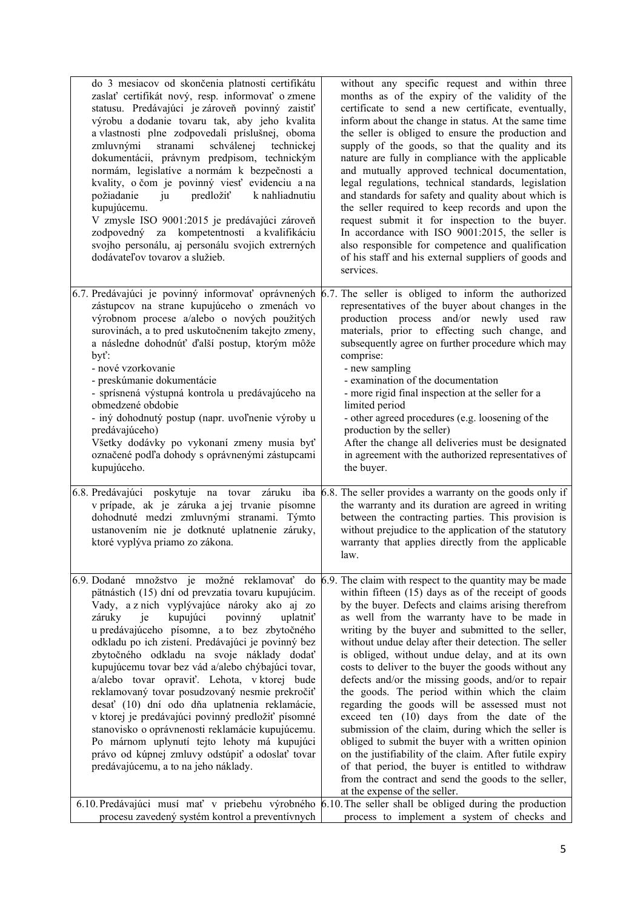| do 3 mesiacov od skončenia platnosti certifikátu<br>zaslať certifikát nový, resp. informovať o zmene<br>statusu. Predávajúci je zároveň povinný zaistiť<br>výrobu a dodanie tovaru tak, aby jeho kvalita<br>a vlastnosti plne zodpovedali príslušnej, oboma<br>zmluvnými<br>stranami<br>schválenej<br>technickej<br>dokumentácii, právnym predpisom, technickým<br>normám, legislatíve a normám k bezpečnosti a<br>kvality, o čom je povinný viesť evidenciu a na<br>predložiť<br>požiadanie<br>k nahliadnutiu<br>ju<br>kupujúcemu.<br>V zmysle ISO 9001:2015 je predávajúci zároveň<br>za kompetentnosti a kvalifikáciu<br>zodpovedný<br>svojho personálu, aj personálu svojich extrerných<br>dodávateľov tovarov a služieb.                                                                                                                                        | without any specific request and within three<br>months as of the expiry of the validity of the<br>certificate to send a new certificate, eventually,<br>inform about the change in status. At the same time<br>the seller is obliged to ensure the production and<br>supply of the goods, so that the quality and its<br>nature are fully in compliance with the applicable<br>and mutually approved technical documentation,<br>legal regulations, technical standards, legislation<br>and standards for safety and quality about which is<br>the seller required to keep records and upon the<br>request submit it for inspection to the buyer.<br>In accordance with ISO 9001:2015, the seller is<br>also responsible for competence and qualification<br>of his staff and his external suppliers of goods and<br>services.                                                                                                                                                                                                  |
|----------------------------------------------------------------------------------------------------------------------------------------------------------------------------------------------------------------------------------------------------------------------------------------------------------------------------------------------------------------------------------------------------------------------------------------------------------------------------------------------------------------------------------------------------------------------------------------------------------------------------------------------------------------------------------------------------------------------------------------------------------------------------------------------------------------------------------------------------------------------|----------------------------------------------------------------------------------------------------------------------------------------------------------------------------------------------------------------------------------------------------------------------------------------------------------------------------------------------------------------------------------------------------------------------------------------------------------------------------------------------------------------------------------------------------------------------------------------------------------------------------------------------------------------------------------------------------------------------------------------------------------------------------------------------------------------------------------------------------------------------------------------------------------------------------------------------------------------------------------------------------------------------------------|
| 6.7. Predávajúci je povinný informovať oprávnených<br>zástupcov na strane kupujúceho o zmenách vo<br>výrobnom procese a/alebo o nových použitých<br>surovinách, a to pred uskutočnením takejto zmeny,<br>a následne dohodnúť ďalší postup, ktorým môže<br>$byt$ :<br>- nové vzorkovanie<br>- preskúmanie dokumentácie<br>- sprísnená výstupná kontrola u predávajúceho na<br>obmedzené obdobie<br>- iný dohodnutý postup (napr. uvoľnenie výroby u<br>predávajúceho)<br>Všetky dodávky po vykonaní zmeny musia byť<br>označené podľa dohody s oprávnenými zástupcami<br>kupujúceho.                                                                                                                                                                                                                                                                                  | 6.7. The seller is obliged to inform the authorized<br>representatives of the buyer about changes in the<br>production process and/or newly used raw<br>materials, prior to effecting such change, and<br>subsequently agree on further procedure which may<br>comprise:<br>- new sampling<br>- examination of the documentation<br>- more rigid final inspection at the seller for a<br>limited period<br>- other agreed procedures (e.g. loosening of the<br>production by the seller)<br>After the change all deliveries must be designated<br>in agreement with the authorized representatives of<br>the buyer.                                                                                                                                                                                                                                                                                                                                                                                                              |
| v prípade, ak je záruka a jej trvanie písomne<br>dohodnuté medzi zmluvnými stranami. Týmto<br>ustanovením nie je dotknuté uplatnenie záruky,<br>ktoré vyplýva priamo zo zákona.                                                                                                                                                                                                                                                                                                                                                                                                                                                                                                                                                                                                                                                                                      | 6.8. Predávajúci poskytuje na tovar záruku iba 6.8. The seller provides a warranty on the goods only if<br>the warranty and its duration are agreed in writing<br>between the contracting parties. This provision is<br>without prejudice to the application of the statutory<br>warranty that applies directly from the applicable<br>law.                                                                                                                                                                                                                                                                                                                                                                                                                                                                                                                                                                                                                                                                                      |
| 6.9. Dodané množstvo je možné reklamovať do<br>pätnástich (15) dní od prevzatia tovaru kupujúcim.<br>Vady, a z nich vyplývajúce nároky ako aj zo<br>záruky<br>kupujúci<br>povinný<br>uplatniť<br>je<br>u predávajúceho písomne, a to bez zbytočného<br>odkladu po ich zistení. Predávajúci je povinný bez<br>zbytočného odkladu na svoje náklady dodať<br>kupujúcemu tovar bez vád a/alebo chýbajúci tovar,<br>a/alebo tovar opraviť. Lehota, v ktorej bude<br>reklamovaný tovar posudzovaný nesmie prekročiť<br>desať (10) dní odo dňa uplatnenia reklamácie,<br>v ktorej je predávajúci povinný predložiť písomné<br>stanovisko o oprávnenosti reklamácie kupujúcemu.<br>Po márnom uplynutí tejto lehoty má kupujúci<br>právo od kúpnej zmluvy odstúpiť a odoslať tovar<br>predávajúcemu, a to na jeho náklady.<br>6.10. Predávajúci musí mať v priebehu výrobného | 6.9. The claim with respect to the quantity may be made<br>within fifteen (15) days as of the receipt of goods<br>by the buyer. Defects and claims arising therefrom<br>as well from the warranty have to be made in<br>writing by the buyer and submitted to the seller,<br>without undue delay after their detection. The seller<br>is obliged, without undue delay, and at its own<br>costs to deliver to the buyer the goods without any<br>defects and/or the missing goods, and/or to repair<br>the goods. The period within which the claim<br>regarding the goods will be assessed must not<br>exceed ten (10) days from the date of the<br>submission of the claim, during which the seller is<br>obliged to submit the buyer with a written opinion<br>on the justifiability of the claim. After futile expiry<br>of that period, the buyer is entitled to withdraw<br>from the contract and send the goods to the seller,<br>at the expense of the seller.<br>6.10. The seller shall be obliged during the production |
| procesu zavedený systém kontrol a preventívnych                                                                                                                                                                                                                                                                                                                                                                                                                                                                                                                                                                                                                                                                                                                                                                                                                      | process to implement a system of checks and                                                                                                                                                                                                                                                                                                                                                                                                                                                                                                                                                                                                                                                                                                                                                                                                                                                                                                                                                                                      |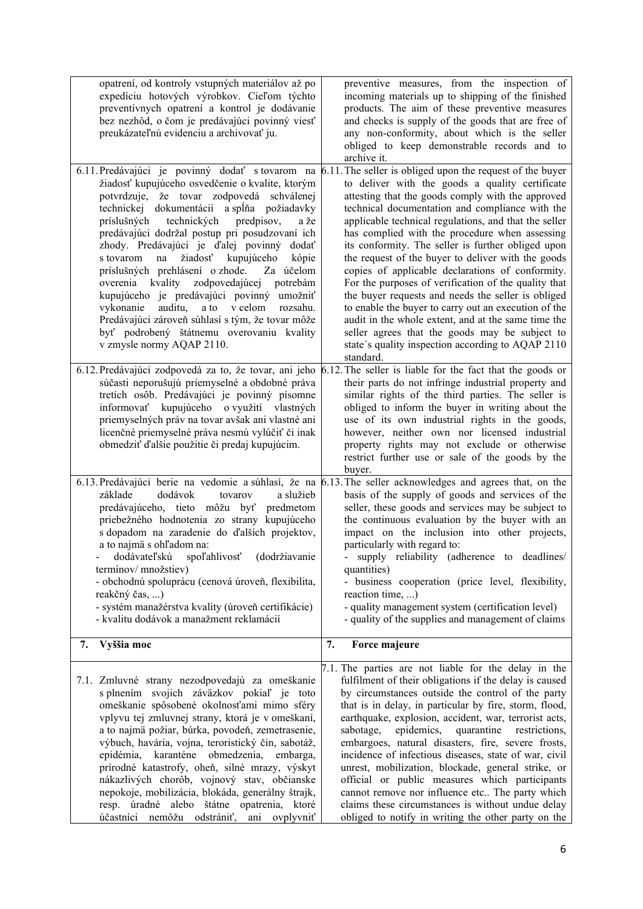| opatrení, od kontroly vstupných materiálov až po<br>expedíciu hotových výrobkov. Cieľom týchto<br>preventívnych opatrení a kontrol je dodávanie<br>bez nezhôd, o čom je predávajúci povinný viesť<br>preukázateľnú evidenciu a archivovať ju.                                                                                                                                                                                                                                                                                                                                                                                                                                                                                                                                                                                               | preventive measures, from the inspection of<br>incoming materials up to shipping of the finished<br>products. The aim of these preventive measures<br>and checks is supply of the goods that are free of<br>any non-conformity, about which is the seller<br>obliged to keep demonstrable records and to<br>archive it.                                                                                                                                                                                                                                                                                                                                                                                                                                                                                                                                                                                                                                              |
|---------------------------------------------------------------------------------------------------------------------------------------------------------------------------------------------------------------------------------------------------------------------------------------------------------------------------------------------------------------------------------------------------------------------------------------------------------------------------------------------------------------------------------------------------------------------------------------------------------------------------------------------------------------------------------------------------------------------------------------------------------------------------------------------------------------------------------------------|----------------------------------------------------------------------------------------------------------------------------------------------------------------------------------------------------------------------------------------------------------------------------------------------------------------------------------------------------------------------------------------------------------------------------------------------------------------------------------------------------------------------------------------------------------------------------------------------------------------------------------------------------------------------------------------------------------------------------------------------------------------------------------------------------------------------------------------------------------------------------------------------------------------------------------------------------------------------|
| 6.11. Predávajúci je povinný dodať s tovarom na<br>žiadosť kupujúceho osvedčenie o kvalite, ktorým<br>potvrdzuje, že tovar zodpovedá schválenej<br>technickej dokumentácii a spĺňa požiadavky<br>príslušných technických<br>predpisov,<br>a že<br>predávajúci dodržal postup pri posudzovaní ich<br>zhody. Predávajúci je ďalej povinný dodať<br>žiadosť<br>kupujúceho<br>s tovarom<br>kópie<br>na<br>príslušných prehlásení o zhode.<br>Za účelom<br>overenia kvality zodpovedajúcej potrebám<br>kupujúceho je predávajúci povinný umožniť<br>auditu,<br>a to<br>v celom<br>rozsahu.<br>vykonanie<br>Predávajúci zároveň súhlasí s tým, že tovar môže<br>byť podrobený štátnemu overovaniu kvality<br>v zmysle normy AQAP 2110.<br>6.12. Predávajúci zodpovedá za to, že tovar, ani jeho<br>súčasti neporušujú priemyselné a obdobné práva | 6.11. The seller is obliged upon the request of the buyer<br>to deliver with the goods a quality certificate<br>attesting that the goods comply with the approved<br>technical documentation and compliance with the<br>applicable technical regulations, and that the seller<br>has complied with the procedure when assessing<br>its conformity. The seller is further obliged upon<br>the request of the buyer to deliver with the goods<br>copies of applicable declarations of conformity.<br>For the purposes of verification of the quality that<br>the buyer requests and needs the seller is obliged<br>to enable the buyer to carry out an execution of the<br>audit in the whole extent, and at the same time the<br>seller agrees that the goods may be subject to<br>state's quality inspection according to AQAP 2110<br>standard.<br>6.12. The seller is liable for the fact that the goods or<br>their parts do not infringe industrial property and |
| tretích osôb. Predávajúci je povinný písomne<br>informovať kupujúceho o využití vlastných<br>priemyselných práv na tovar avšak ani vlastné ani<br>licenčné priemyselné práva nesmú vylúčiť či inak<br>obmedziť ďalšie použitie či predaj kupujúcim.                                                                                                                                                                                                                                                                                                                                                                                                                                                                                                                                                                                         | similar rights of the third parties. The seller is<br>obliged to inform the buyer in writing about the<br>use of its own industrial rights in the goods,<br>however, neither own nor licensed industrial<br>property rights may not exclude or otherwise<br>restrict further use or sale of the goods by the<br>buyer.                                                                                                                                                                                                                                                                                                                                                                                                                                                                                                                                                                                                                                               |
| dodávok<br>základe<br>tovarov<br>a služieb<br>predávajúceho, tieto môžu byť predmetom<br>priebežného hodnotenia zo strany kupujúceho<br>s dopadom na zaradenie do ďalších projektov,<br>a to najmä s ohľadom na:<br>dodávateľskú spoľahlivosť (dodržiavanie<br>termínov/množstiev)<br>- obchodnú spoluprácu (cenová úroveň, flexibilita,<br>reakčný čas, )<br>- systém manažérstva kvality (úroveň certifikácie)<br>- kvalitu dodávok a manažment reklamácií                                                                                                                                                                                                                                                                                                                                                                                | 6.13. Predávajúci berie na vedomie a súhlasí, že na 6.13. The seller acknowledges and agrees that, on the<br>basis of the supply of goods and services of the<br>seller, these goods and services may be subject to<br>the continuous evaluation by the buyer with an<br>impact on the inclusion into other projects,<br>particularly with regard to:<br>supply reliability (adherence to deadlines/<br>quantities)<br>- business cooperation (price level, flexibility,<br>reaction time, )<br>- quality management system (certification level)<br>- quality of the supplies and management of claims                                                                                                                                                                                                                                                                                                                                                              |
| 7.<br>Vyššia moc                                                                                                                                                                                                                                                                                                                                                                                                                                                                                                                                                                                                                                                                                                                                                                                                                            | 7.<br>Force majeure<br>7.1. The parties are not liable for the delay in the                                                                                                                                                                                                                                                                                                                                                                                                                                                                                                                                                                                                                                                                                                                                                                                                                                                                                          |
| 7.1. Zmluvné strany nezodpovedajú za omeškanie<br>s plnením svojich záväzkov pokiaľ je toto<br>omeškanie spôsobené okolnosťami mimo sféry<br>vplyvu tej zmluvnej strany, ktorá je v omeškaní,<br>a to najmä požiar, búrka, povodeň, zemetrasenie,<br>výbuch, havária, vojna, teroristický čin, sabotáž,<br>epidémia,<br>karanténe<br>obmedzenia,<br>embarga,<br>prírodné katastrofy, oheň, silné mrazy, výskyt<br>nákazlivých chorôb, vojnový stav, občianske<br>nepokoje, mobilizácia, blokáda, generálny štrajk,<br>resp. úradné alebo štátne opatrenia, ktoré<br>účastníci nemôžu odstrániť,<br>ani ovplyvniť                                                                                                                                                                                                                            | fulfilment of their obligations if the delay is caused<br>by circumstances outside the control of the party<br>that is in delay, in particular by fire, storm, flood,<br>earthquake, explosion, accident, war, terrorist acts,<br>epidemics,<br>quarantine<br>sabotage,<br>restrictions,<br>embargoes, natural disasters, fire, severe frosts,<br>incidence of infectious diseases, state of war, civil<br>unrest, mobilization, blockade, general strike, or<br>official or public measures which participants<br>cannot remove nor influence etc The party which<br>claims these circumstances is without undue delay<br>obliged to notify in writing the other party on the                                                                                                                                                                                                                                                                                       |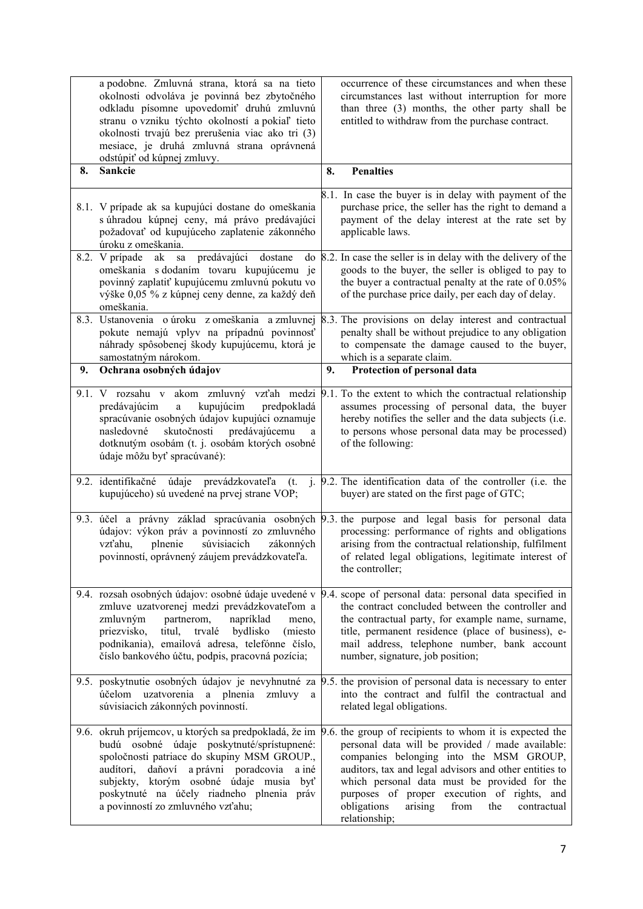|      | a podobne. Zmluvná strana, ktorá sa na tieto<br>okolnosti odvoláva je povinná bez zbytočného<br>odkladu písomne upovedomiť druhú zmluvnú<br>stranu o vzniku týchto okolností a pokiaľ tieto<br>okolnosti trvajú bez prerušenia viac ako tri (3)<br>mesiace, je druhá zmluvná strana oprávnená<br>odstúpiť od kúpnej zmluvy.                                                                     |    | occurrence of these circumstances and when these<br>circumstances last without interruption for more<br>than three (3) months, the other party shall be<br>entitled to withdraw from the purchase contract.                                                                                                                   |
|------|-------------------------------------------------------------------------------------------------------------------------------------------------------------------------------------------------------------------------------------------------------------------------------------------------------------------------------------------------------------------------------------------------|----|-------------------------------------------------------------------------------------------------------------------------------------------------------------------------------------------------------------------------------------------------------------------------------------------------------------------------------|
| 8.   | Sankcie                                                                                                                                                                                                                                                                                                                                                                                         | 8. | <b>Penalties</b>                                                                                                                                                                                                                                                                                                              |
|      | 8.1. V prípade ak sa kupujúci dostane do omeškania<br>s úhradou kúpnej ceny, má právo predávajúci<br>požadovať od kupujúceho zaplatenie zákonného<br>úroku z omeškania.                                                                                                                                                                                                                         |    | 8.1. In case the buyer is in delay with payment of the<br>purchase price, the seller has the right to demand a<br>payment of the delay interest at the rate set by<br>applicable laws.                                                                                                                                        |
| 8.2. | predávajúci<br>V prípade<br>ak<br>${\bf sa}$<br>dostane<br>do<br>omeškania s dodaním tovaru kupujúcemu je<br>povinný zaplatiť kupujúcemu zmluvnú pokutu vo<br>výške 0,05 % z kúpnej ceny denne, za každý deň<br>omeškania.                                                                                                                                                                      |    | 8.2. In case the seller is in delay with the delivery of the<br>goods to the buyer, the seller is obliged to pay to<br>the buyer a contractual penalty at the rate of 0.05%<br>of the purchase price daily, per each day of delay.                                                                                            |
|      | 8.3. Ustanovenia o úroku z omeškania a zmluvnej<br>pokute nemajú vplyv na prípadnú povinnosť<br>náhrady spôsobenej škody kupujúcemu, ktorá je<br>samostatným nárokom.                                                                                                                                                                                                                           |    | 8.3. The provisions on delay interest and contractual<br>penalty shall be without prejudice to any obligation<br>to compensate the damage caused to the buyer,<br>which is a separate claim.                                                                                                                                  |
| 9.   | Ochrana osobných údajov                                                                                                                                                                                                                                                                                                                                                                         | 9. | Protection of personal data                                                                                                                                                                                                                                                                                                   |
|      | 9.1. V rozsahu v akom zmluvný vzťah medzi 9.1. To the extent to which the contractual relationship<br>kupujúcim<br>predávajúcim<br>predpokladá<br>$\rm{a}$<br>spracúvanie osobných údajov kupujúci oznamuje<br>skutočnosti predávajúcemu<br>nasledovné<br>a<br>dotknutým osobám (t. j. osobám ktorých osobné<br>údaje môžu byť spracúvané):                                                     |    | assumes processing of personal data, the buyer<br>hereby notifies the seller and the data subjects (i.e.<br>to persons whose personal data may be processed)<br>of the following:                                                                                                                                             |
|      | 9.2. identifikačné údaje prevádzkovateľa<br>(t.<br>kupujúceho) sú uvedené na prvej strane VOP;                                                                                                                                                                                                                                                                                                  |    | j. 9.2. The identification data of the controller (i.e. the<br>buyer) are stated on the first page of GTC;                                                                                                                                                                                                                    |
|      | 9.3. účel a právny základ spracúvania osobných 9.3 the purpose and legal basis for personal data<br>údajov: výkon práv a povinností zo zmluvného<br>plnenie<br>súvisiacich<br>vzťahu,<br>zákonných<br>povinností, oprávnený záujem prevádzkovateľa.                                                                                                                                             |    | processing: performance of rights and obligations<br>arising from the contractual relationship, fulfilment<br>of related legal obligations, legitimate interest of<br>the controller;                                                                                                                                         |
|      | 9.4. rozsah osobných údajov: osobné údaje uvedené v<br>zmluve uzatvorenej medzi prevádzkovateľom a<br>partnerom,<br>napríklad<br>zmluvným<br>meno,<br>trvalé bydlisko<br>priezvisko,<br>titul,<br>(miesto<br>podnikania), emailová adresa, telefónne číslo,<br>číslo bankového účtu, podpis, pracovná pozícia;                                                                                  |    | 9.4. scope of personal data: personal data specified in<br>the contract concluded between the controller and<br>the contractual party, for example name, surname,<br>title, permanent residence (place of business), e-<br>mail address, telephone number, bank account<br>number, signature, job position;                   |
|      | 9.5. poskytnutie osobných údajov je nevyhnutné za 9.5. the provision of personal data is necessary to enter<br>účelom uzatvorenia a plnenia zmluvy a<br>súvisiacich zákonných povinností.                                                                                                                                                                                                       |    | into the contract and fulfil the contractual and<br>related legal obligations.                                                                                                                                                                                                                                                |
|      | 9.6. okruh príjemcov, u ktorých sa predpokladá, že im $\beta$ .6. the group of recipients to whom it is expected the<br>budú osobné údaje poskytnuté/sprístupnené:<br>spoločnosti patriace do skupiny MSM GROUP.,<br>audítori, daňoví a právni poradcovia<br>a iné<br>subjekty, ktorým osobné údaje musia byť<br>poskytnuté na účely riadneho plnenia práv<br>a povinností zo zmluvného vzťahu; |    | personal data will be provided / made available:<br>companies belonging into the MSM GROUP,<br>auditors, tax and legal advisors and other entities to<br>which personal data must be provided for the<br>purposes of proper execution of rights, and<br>obligations<br>arising<br>from<br>the<br>contractual<br>relationship; |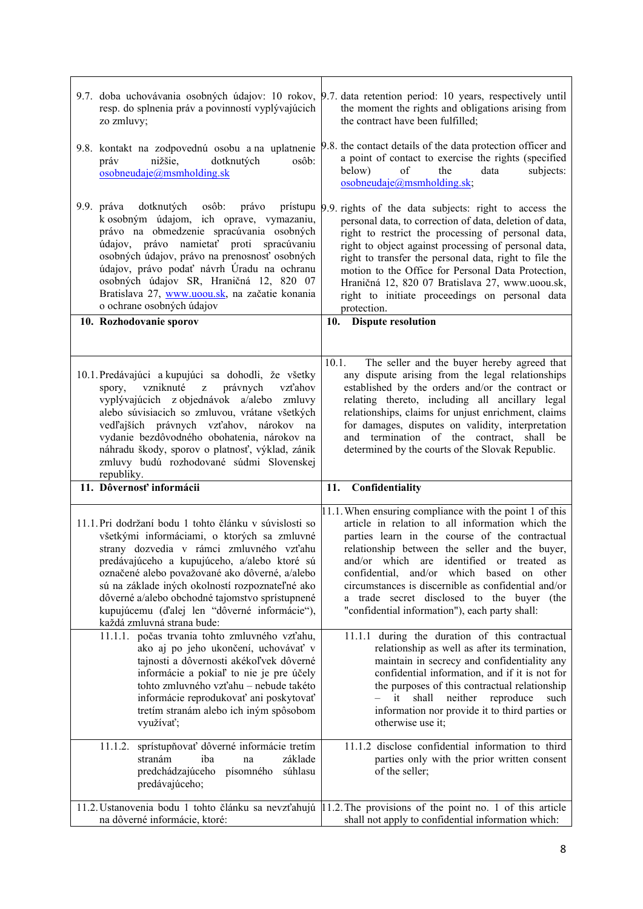| resp. do splnenia práv a povinností vyplývajúcich<br>zo zmluvy;                                                                                                                                                                                                                                                                                                                                                                         | 9.7. doba uchovávania osobných údajov: 10 rokov, 9.7. data retention period: 10 years, respectively until<br>the moment the rights and obligations arising from<br>the contract have been fulfilled;                                                                                                                                                                                                                                                                       |
|-----------------------------------------------------------------------------------------------------------------------------------------------------------------------------------------------------------------------------------------------------------------------------------------------------------------------------------------------------------------------------------------------------------------------------------------|----------------------------------------------------------------------------------------------------------------------------------------------------------------------------------------------------------------------------------------------------------------------------------------------------------------------------------------------------------------------------------------------------------------------------------------------------------------------------|
| 9.8. kontakt na zodpovednú osobu a na uplatnenie<br>dotknutých<br>nižšie,<br>osôb:<br>práv<br>osobneudaje@msmholding.sk                                                                                                                                                                                                                                                                                                                 | 9.8. the contact details of the data protection officer and<br>a point of contact to exercise the rights (specified<br>the<br>below)<br>of<br>data<br>subjects:<br>osobneudaje@msmholding.sk;                                                                                                                                                                                                                                                                              |
| dotknutých osôb: právo<br>9.9. práva<br>k osobným údajom, ich oprave, vymazaniu,<br>právo na obmedzenie spracúvania osobných<br>údajov, právo namietať proti spracúvaniu<br>osobných údajov, právo na prenosnosť osobných<br>údajov, právo podať návrh Úradu na ochranu<br>osobných údajov SR, Hraničná 12, 820 07<br>Bratislava 27, www.uoou.sk, na začatie konania<br>o ochrane osobných údajov                                       | prístupu 9.9 rights of the data subjects: right to access the<br>personal data, to correction of data, deletion of data,<br>right to restrict the processing of personal data,<br>right to object against processing of personal data,<br>right to transfer the personal data, right to file the<br>motion to the Office for Personal Data Protection,<br>Hraničná 12, 820 07 Bratislava 27, www.uoou.sk,<br>right to initiate proceedings on personal data<br>protection. |
| 10. Rozhodovanie sporov                                                                                                                                                                                                                                                                                                                                                                                                                 | 10. Dispute resolution                                                                                                                                                                                                                                                                                                                                                                                                                                                     |
| 10.1. Predávajúci a kupujúci sa dohodli, že všetky<br>vzniknuté z<br>právnych<br>spory,<br>vzťahov<br>vyplývajúcich z objednávok a/alebo zmluvy<br>alebo súvisiacich so zmluvou, vrátane všetkých<br>vedľajších právnych vzťahov, nárokov<br>na<br>vydanie bezdôvodného obohatenia, nárokov na<br>náhradu škody, sporov o platnosť, výklad, zánik                                                                                       | The seller and the buyer hereby agreed that<br>10.1.<br>any dispute arising from the legal relationships<br>established by the orders and/or the contract or<br>relating thereto, including all ancillary legal<br>relationships, claims for unjust enrichment, claims<br>for damages, disputes on validity, interpretation<br>and termination of the contract, shall be<br>determined by the courts of the Slovak Republic.                                               |
| zmluvy budú rozhodované súdmi Slovenskej<br>republiky.                                                                                                                                                                                                                                                                                                                                                                                  |                                                                                                                                                                                                                                                                                                                                                                                                                                                                            |
| 11. Dôvernosť informácii                                                                                                                                                                                                                                                                                                                                                                                                                | Confidentiality<br>11.                                                                                                                                                                                                                                                                                                                                                                                                                                                     |
| 11.1. Pri dodržaní bodu 1 tohto článku v súvislosti so<br>všetkými informáciami, o ktorých sa zmluvné<br>strany dozvedia v rámci zmluvného vzťahu<br>predávajúceho a kupujúceho, a/alebo ktoré sú<br>označené alebo považované ako dôverné, a/alebo<br>sú na základe iných okolností rozpoznateľné ako<br>dôverné a/alebo obchodné tajomstvo sprístupnené<br>kupujúcemu (ďalej len "dôverné informácie"),<br>každá zmluvná strana bude: | 11.1. When ensuring compliance with the point 1 of this<br>article in relation to all information which the<br>parties learn in the course of the contractual<br>relationship between the seller and the buyer,<br>and/or which are identified or treated as<br>confidential, and/or which based<br>other<br>on<br>circumstances is discernible as confidential and/or<br>a trade secret disclosed to the buyer (the<br>"confidential information"), each party shall:     |
| 11.1.1. počas trvania tohto zmluvného vzťahu,<br>ako aj po jeho ukončení, uchovávať v<br>tajnosti a dôvernosti akékoľvek dôverné<br>informácie a pokiaľ to nie je pre účely<br>tohto zmluvného vzťahu - nebude takéto<br>informácie reprodukovať ani poskytovať<br>tretím stranám alebo ich iným spôsobom<br>využívať;                                                                                                                  | 11.1.1 during the duration of this contractual<br>relationship as well as after its termination,<br>maintain in secrecy and confidentiality any<br>confidential information, and if it is not for<br>the purposes of this contractual relationship<br>neither<br>it<br>shall<br>reproduce<br>$\overline{\phantom{0}}$<br>such<br>information nor provide it to third parties or<br>otherwise use it;                                                                       |
| 11.1.2. sprístupňovať dôverné informácie tretím<br>základe<br>stranám<br>iba<br>na<br>predchádzajúceho písomného<br>súhlasu<br>predávajúceho;                                                                                                                                                                                                                                                                                           | 11.1.2 disclose confidential information to third<br>parties only with the prior written consent<br>of the seller;                                                                                                                                                                                                                                                                                                                                                         |

ċ